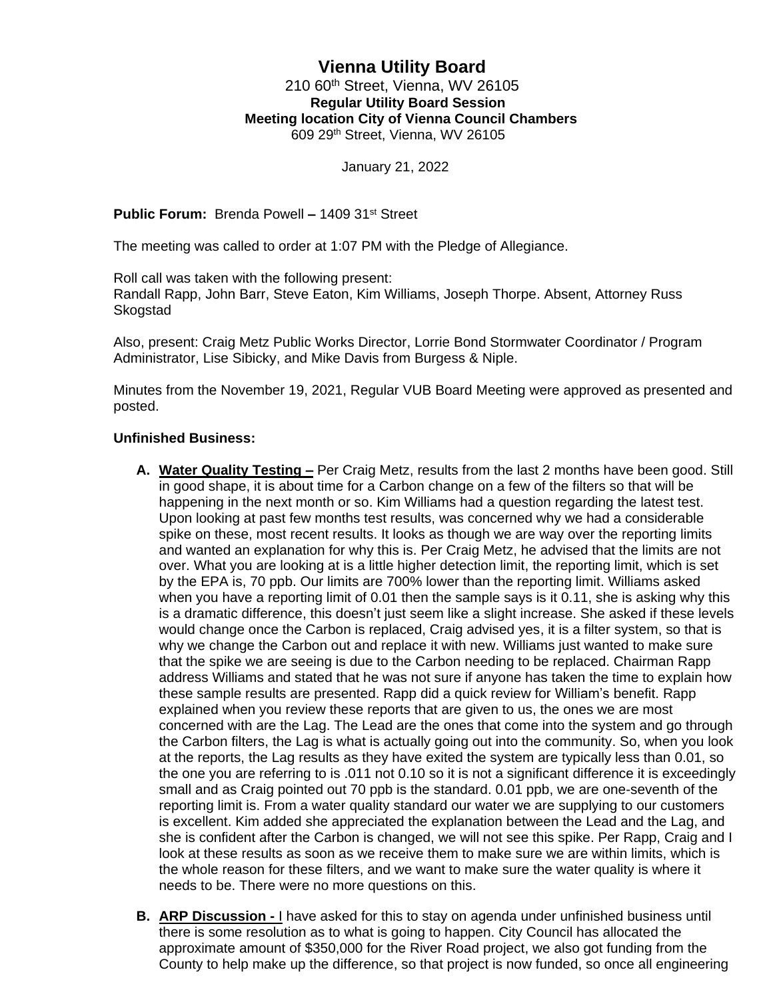# **Vienna Utility Board**

### 210 60<sup>th</sup> Street, Vienna, WV 26105 **Regular Utility Board Session Meeting location City of Vienna Council Chambers** 609 29th Street, Vienna, WV 26105

January 21, 2022

**Public Forum:** Brenda Powell **–** 1409 31st Street

The meeting was called to order at 1:07 PM with the Pledge of Allegiance.

Roll call was taken with the following present: Randall Rapp, John Barr, Steve Eaton, Kim Williams, Joseph Thorpe. Absent, Attorney Russ Skogstad

Also, present: Craig Metz Public Works Director, Lorrie Bond Stormwater Coordinator / Program Administrator, Lise Sibicky, and Mike Davis from Burgess & Niple.

Minutes from the November 19, 2021, Regular VUB Board Meeting were approved as presented and posted.

## **Unfinished Business:**

- **A. Water Quality Testing –** Per Craig Metz, results from the last 2 months have been good. Still in good shape, it is about time for a Carbon change on a few of the filters so that will be happening in the next month or so. Kim Williams had a question regarding the latest test. Upon looking at past few months test results, was concerned why we had a considerable spike on these, most recent results. It looks as though we are way over the reporting limits and wanted an explanation for why this is. Per Craig Metz, he advised that the limits are not over. What you are looking at is a little higher detection limit, the reporting limit, which is set by the EPA is, 70 ppb. Our limits are 700% lower than the reporting limit. Williams asked when you have a reporting limit of 0.01 then the sample says is it 0.11, she is asking why this is a dramatic difference, this doesn't just seem like a slight increase. She asked if these levels would change once the Carbon is replaced, Craig advised yes, it is a filter system, so that is why we change the Carbon out and replace it with new. Williams just wanted to make sure that the spike we are seeing is due to the Carbon needing to be replaced. Chairman Rapp address Williams and stated that he was not sure if anyone has taken the time to explain how these sample results are presented. Rapp did a quick review for William's benefit. Rapp explained when you review these reports that are given to us, the ones we are most concerned with are the Lag. The Lead are the ones that come into the system and go through the Carbon filters, the Lag is what is actually going out into the community. So, when you look at the reports, the Lag results as they have exited the system are typically less than 0.01, so the one you are referring to is .011 not 0.10 so it is not a significant difference it is exceedingly small and as Craig pointed out 70 ppb is the standard. 0.01 ppb, we are one-seventh of the reporting limit is. From a water quality standard our water we are supplying to our customers is excellent. Kim added she appreciated the explanation between the Lead and the Lag, and she is confident after the Carbon is changed, we will not see this spike. Per Rapp, Craig and I look at these results as soon as we receive them to make sure we are within limits, which is the whole reason for these filters, and we want to make sure the water quality is where it needs to be. There were no more questions on this.
- **B. ARP Discussion -** I have asked for this to stay on agenda under unfinished business until there is some resolution as to what is going to happen. City Council has allocated the approximate amount of \$350,000 for the River Road project, we also got funding from the County to help make up the difference, so that project is now funded, so once all engineering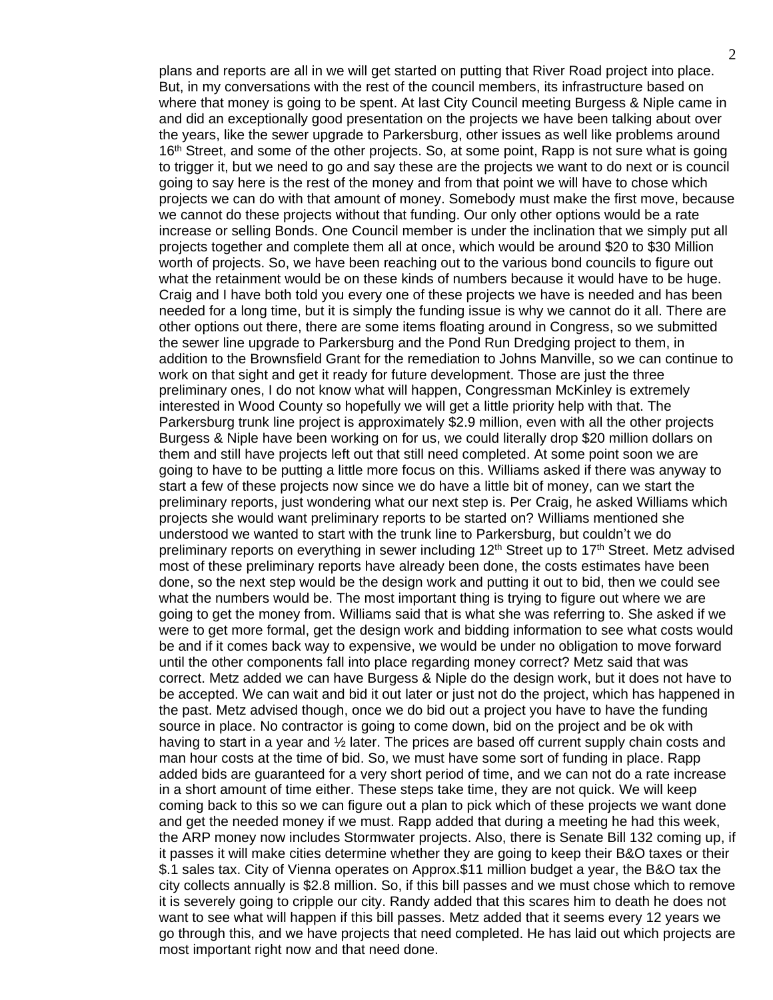plans and reports are all in we will get started on putting that River Road project into place. But, in my conversations with the rest of the council members, its infrastructure based on where that money is going to be spent. At last City Council meeting Burgess & Niple came in and did an exceptionally good presentation on the projects we have been talking about over the years, like the sewer upgrade to Parkersburg, other issues as well like problems around 16<sup>th</sup> Street, and some of the other projects. So, at some point, Rapp is not sure what is going to trigger it, but we need to go and say these are the projects we want to do next or is council going to say here is the rest of the money and from that point we will have to chose which projects we can do with that amount of money. Somebody must make the first move, because we cannot do these projects without that funding. Our only other options would be a rate increase or selling Bonds. One Council member is under the inclination that we simply put all projects together and complete them all at once, which would be around \$20 to \$30 Million worth of projects. So, we have been reaching out to the various bond councils to figure out what the retainment would be on these kinds of numbers because it would have to be huge. Craig and I have both told you every one of these projects we have is needed and has been needed for a long time, but it is simply the funding issue is why we cannot do it all. There are other options out there, there are some items floating around in Congress, so we submitted the sewer line upgrade to Parkersburg and the Pond Run Dredging project to them, in addition to the Brownsfield Grant for the remediation to Johns Manville, so we can continue to work on that sight and get it ready for future development. Those are just the three preliminary ones, I do not know what will happen, Congressman McKinley is extremely interested in Wood County so hopefully we will get a little priority help with that. The Parkersburg trunk line project is approximately \$2.9 million, even with all the other projects Burgess & Niple have been working on for us, we could literally drop \$20 million dollars on them and still have projects left out that still need completed. At some point soon we are going to have to be putting a little more focus on this. Williams asked if there was anyway to start a few of these projects now since we do have a little bit of money, can we start the preliminary reports, just wondering what our next step is. Per Craig, he asked Williams which projects she would want preliminary reports to be started on? Williams mentioned she understood we wanted to start with the trunk line to Parkersburg, but couldn't we do preliminary reports on everything in sewer including  $12<sup>th</sup>$  Street up to  $17<sup>th</sup>$  Street. Metz advised most of these preliminary reports have already been done, the costs estimates have been done, so the next step would be the design work and putting it out to bid, then we could see what the numbers would be. The most important thing is trying to figure out where we are going to get the money from. Williams said that is what she was referring to. She asked if we were to get more formal, get the design work and bidding information to see what costs would be and if it comes back way to expensive, we would be under no obligation to move forward until the other components fall into place regarding money correct? Metz said that was correct. Metz added we can have Burgess & Niple do the design work, but it does not have to be accepted. We can wait and bid it out later or just not do the project, which has happened in the past. Metz advised though, once we do bid out a project you have to have the funding source in place. No contractor is going to come down, bid on the project and be ok with having to start in a year and  $\frac{1}{2}$  later. The prices are based off current supply chain costs and man hour costs at the time of bid. So, we must have some sort of funding in place. Rapp added bids are guaranteed for a very short period of time, and we can not do a rate increase in a short amount of time either. These steps take time, they are not quick. We will keep coming back to this so we can figure out a plan to pick which of these projects we want done and get the needed money if we must. Rapp added that during a meeting he had this week, the ARP money now includes Stormwater projects. Also, there is Senate Bill 132 coming up, if it passes it will make cities determine whether they are going to keep their B&O taxes or their \$.1 sales tax. City of Vienna operates on Approx.\$11 million budget a year, the B&O tax the city collects annually is \$2.8 million. So, if this bill passes and we must chose which to remove it is severely going to cripple our city. Randy added that this scares him to death he does not want to see what will happen if this bill passes. Metz added that it seems every 12 years we go through this, and we have projects that need completed. He has laid out which projects are most important right now and that need done.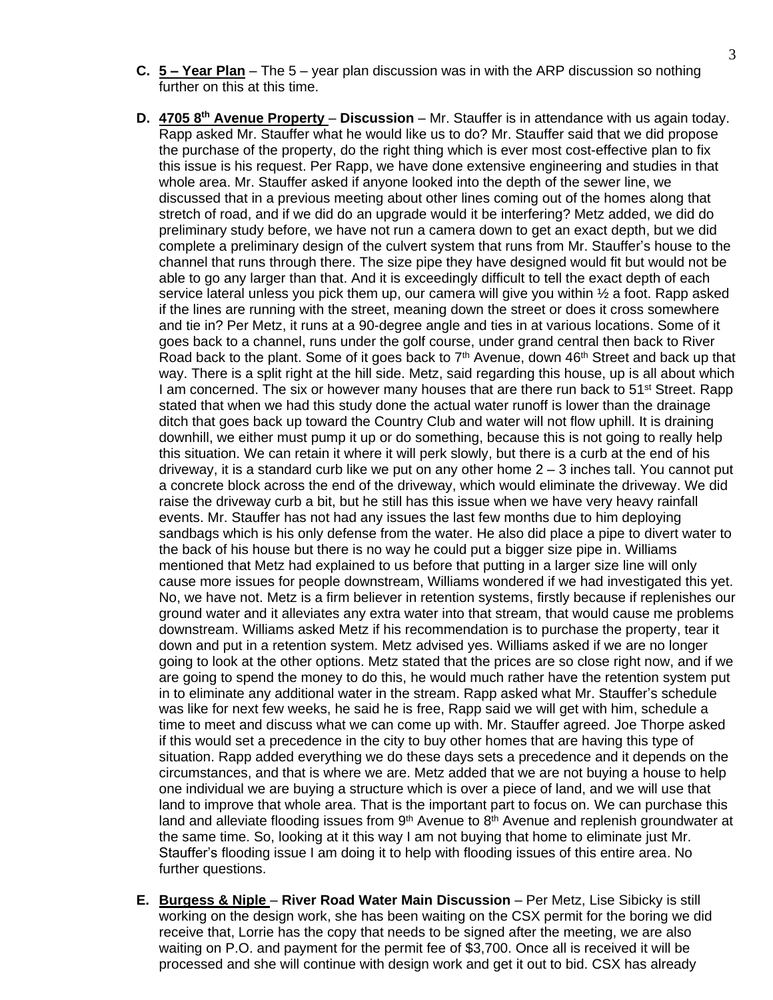- **C. 5 – Year Plan** The 5 year plan discussion was in with the ARP discussion so nothing further on this at this time.
- **D. 4705 8th Avenue Property Discussion** Mr. Stauffer is in attendance with us again today. Rapp asked Mr. Stauffer what he would like us to do? Mr. Stauffer said that we did propose the purchase of the property, do the right thing which is ever most cost-effective plan to fix this issue is his request. Per Rapp, we have done extensive engineering and studies in that whole area. Mr. Stauffer asked if anyone looked into the depth of the sewer line, we discussed that in a previous meeting about other lines coming out of the homes along that stretch of road, and if we did do an upgrade would it be interfering? Metz added, we did do preliminary study before, we have not run a camera down to get an exact depth, but we did complete a preliminary design of the culvert system that runs from Mr. Stauffer's house to the channel that runs through there. The size pipe they have designed would fit but would not be able to go any larger than that. And it is exceedingly difficult to tell the exact depth of each service lateral unless you pick them up, our camera will give you within ½ a foot. Rapp asked if the lines are running with the street, meaning down the street or does it cross somewhere and tie in? Per Metz, it runs at a 90-degree angle and ties in at various locations. Some of it goes back to a channel, runs under the golf course, under grand central then back to River Road back to the plant. Some of it goes back to  $7<sup>th</sup>$  Avenue, down 46<sup>th</sup> Street and back up that way. There is a split right at the hill side. Metz, said regarding this house, up is all about which I am concerned. The six or however many houses that are there run back to 51<sup>st</sup> Street. Rapp stated that when we had this study done the actual water runoff is lower than the drainage ditch that goes back up toward the Country Club and water will not flow uphill. It is draining downhill, we either must pump it up or do something, because this is not going to really help this situation. We can retain it where it will perk slowly, but there is a curb at the end of his driveway, it is a standard curb like we put on any other home 2 – 3 inches tall. You cannot put a concrete block across the end of the driveway, which would eliminate the driveway. We did raise the driveway curb a bit, but he still has this issue when we have very heavy rainfall events. Mr. Stauffer has not had any issues the last few months due to him deploying sandbags which is his only defense from the water. He also did place a pipe to divert water to the back of his house but there is no way he could put a bigger size pipe in. Williams mentioned that Metz had explained to us before that putting in a larger size line will only cause more issues for people downstream, Williams wondered if we had investigated this yet. No, we have not. Metz is a firm believer in retention systems, firstly because if replenishes our ground water and it alleviates any extra water into that stream, that would cause me problems downstream. Williams asked Metz if his recommendation is to purchase the property, tear it down and put in a retention system. Metz advised yes. Williams asked if we are no longer going to look at the other options. Metz stated that the prices are so close right now, and if we are going to spend the money to do this, he would much rather have the retention system put in to eliminate any additional water in the stream. Rapp asked what Mr. Stauffer's schedule was like for next few weeks, he said he is free, Rapp said we will get with him, schedule a time to meet and discuss what we can come up with. Mr. Stauffer agreed. Joe Thorpe asked if this would set a precedence in the city to buy other homes that are having this type of situation. Rapp added everything we do these days sets a precedence and it depends on the circumstances, and that is where we are. Metz added that we are not buying a house to help one individual we are buying a structure which is over a piece of land, and we will use that land to improve that whole area. That is the important part to focus on. We can purchase this land and alleviate flooding issues from  $9<sup>th</sup>$  Avenue to  $8<sup>th</sup>$  Avenue and replenish groundwater at the same time. So, looking at it this way I am not buying that home to eliminate just Mr. Stauffer's flooding issue I am doing it to help with flooding issues of this entire area. No further questions.
- **E. Burgess & Niple River Road Water Main Discussion** Per Metz, Lise Sibicky is still working on the design work, she has been waiting on the CSX permit for the boring we did receive that, Lorrie has the copy that needs to be signed after the meeting, we are also waiting on P.O. and payment for the permit fee of \$3,700. Once all is received it will be processed and she will continue with design work and get it out to bid. CSX has already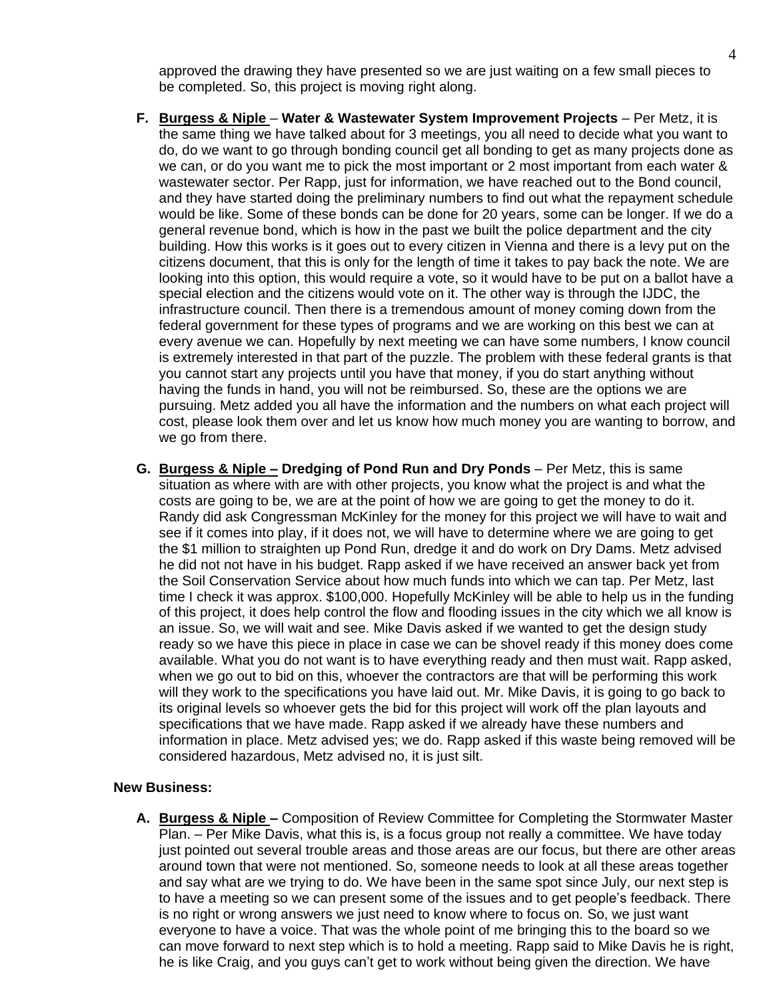approved the drawing they have presented so we are just waiting on a few small pieces to be completed. So, this project is moving right along.

- **F. Burgess & Niple Water & Wastewater System Improvement Projects** Per Metz, it is the same thing we have talked about for 3 meetings, you all need to decide what you want to do, do we want to go through bonding council get all bonding to get as many projects done as we can, or do you want me to pick the most important or 2 most important from each water & wastewater sector. Per Rapp, just for information, we have reached out to the Bond council, and they have started doing the preliminary numbers to find out what the repayment schedule would be like. Some of these bonds can be done for 20 years, some can be longer. If we do a general revenue bond, which is how in the past we built the police department and the city building. How this works is it goes out to every citizen in Vienna and there is a levy put on the citizens document, that this is only for the length of time it takes to pay back the note. We are looking into this option, this would require a vote, so it would have to be put on a ballot have a special election and the citizens would vote on it. The other way is through the IJDC, the infrastructure council. Then there is a tremendous amount of money coming down from the federal government for these types of programs and we are working on this best we can at every avenue we can. Hopefully by next meeting we can have some numbers, I know council is extremely interested in that part of the puzzle. The problem with these federal grants is that you cannot start any projects until you have that money, if you do start anything without having the funds in hand, you will not be reimbursed. So, these are the options we are pursuing. Metz added you all have the information and the numbers on what each project will cost, please look them over and let us know how much money you are wanting to borrow, and we go from there.
- **G. Burgess & Niple – Dredging of Pond Run and Dry Ponds** Per Metz, this is same situation as where with are with other projects, you know what the project is and what the costs are going to be, we are at the point of how we are going to get the money to do it. Randy did ask Congressman McKinley for the money for this project we will have to wait and see if it comes into play, if it does not, we will have to determine where we are going to get the \$1 million to straighten up Pond Run, dredge it and do work on Dry Dams. Metz advised he did not not have in his budget. Rapp asked if we have received an answer back yet from the Soil Conservation Service about how much funds into which we can tap. Per Metz, last time I check it was approx. \$100,000. Hopefully McKinley will be able to help us in the funding of this project, it does help control the flow and flooding issues in the city which we all know is an issue. So, we will wait and see. Mike Davis asked if we wanted to get the design study ready so we have this piece in place in case we can be shovel ready if this money does come available. What you do not want is to have everything ready and then must wait. Rapp asked, when we go out to bid on this, whoever the contractors are that will be performing this work will they work to the specifications you have laid out. Mr. Mike Davis, it is going to go back to its original levels so whoever gets the bid for this project will work off the plan layouts and specifications that we have made. Rapp asked if we already have these numbers and information in place. Metz advised yes; we do. Rapp asked if this waste being removed will be considered hazardous, Metz advised no, it is just silt.

#### **New Business:**

**A. Burgess & Niple –** Composition of Review Committee for Completing the Stormwater Master Plan. – Per Mike Davis, what this is, is a focus group not really a committee. We have today just pointed out several trouble areas and those areas are our focus, but there are other areas around town that were not mentioned. So, someone needs to look at all these areas together and say what are we trying to do. We have been in the same spot since July, our next step is to have a meeting so we can present some of the issues and to get people's feedback. There is no right or wrong answers we just need to know where to focus on. So, we just want everyone to have a voice. That was the whole point of me bringing this to the board so we can move forward to next step which is to hold a meeting. Rapp said to Mike Davis he is right, he is like Craig, and you guys can't get to work without being given the direction. We have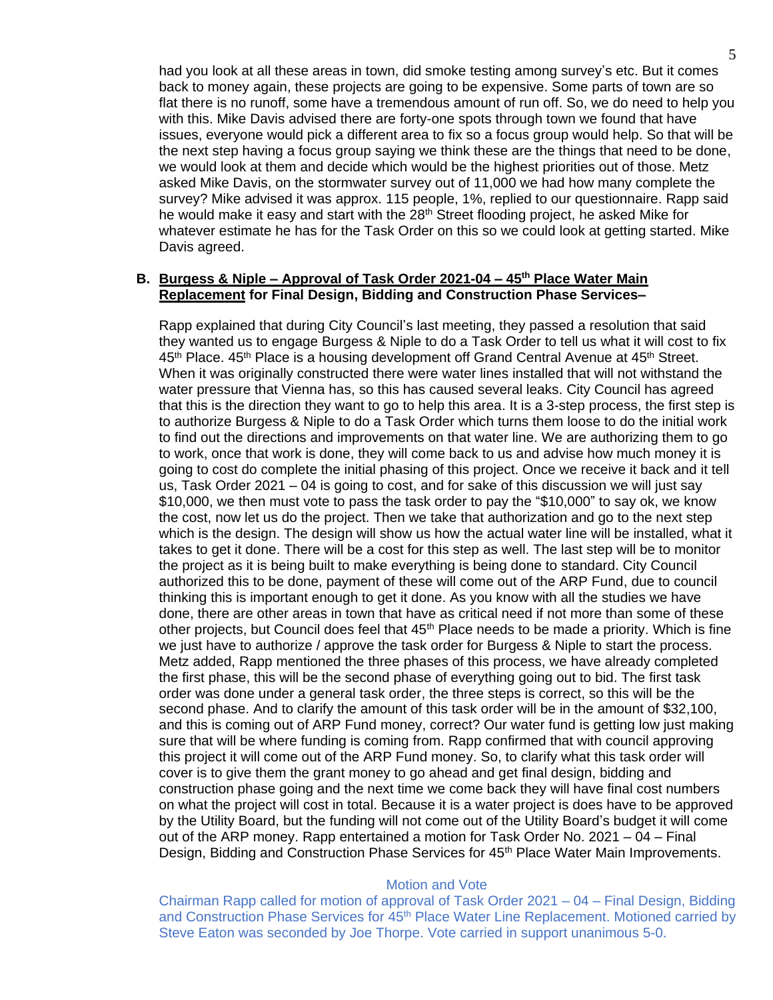had you look at all these areas in town, did smoke testing among survey's etc. But it comes back to money again, these projects are going to be expensive. Some parts of town are so flat there is no runoff, some have a tremendous amount of run off. So, we do need to help you with this. Mike Davis advised there are forty-one spots through town we found that have issues, everyone would pick a different area to fix so a focus group would help. So that will be the next step having a focus group saying we think these are the things that need to be done, we would look at them and decide which would be the highest priorities out of those. Metz asked Mike Davis, on the stormwater survey out of 11,000 we had how many complete the survey? Mike advised it was approx. 115 people, 1%, replied to our questionnaire. Rapp said he would make it easy and start with the 28<sup>th</sup> Street flooding project, he asked Mike for whatever estimate he has for the Task Order on this so we could look at getting started. Mike Davis agreed.

## **B. Burgess & Niple – Approval of Task Order 2021-04 – 45th Place Water Main Replacement for Final Design, Bidding and Construction Phase Services–**

Rapp explained that during City Council's last meeting, they passed a resolution that said they wanted us to engage Burgess & Niple to do a Task Order to tell us what it will cost to fix  $45<sup>th</sup>$  Place.  $45<sup>th</sup>$  Place is a housing development off Grand Central Avenue at  $45<sup>th</sup>$  Street. When it was originally constructed there were water lines installed that will not withstand the water pressure that Vienna has, so this has caused several leaks. City Council has agreed that this is the direction they want to go to help this area. It is a 3-step process, the first step is to authorize Burgess & Niple to do a Task Order which turns them loose to do the initial work to find out the directions and improvements on that water line. We are authorizing them to go to work, once that work is done, they will come back to us and advise how much money it is going to cost do complete the initial phasing of this project. Once we receive it back and it tell us, Task Order 2021 – 04 is going to cost, and for sake of this discussion we will just say \$10,000, we then must vote to pass the task order to pay the "\$10,000" to say ok, we know the cost, now let us do the project. Then we take that authorization and go to the next step which is the design. The design will show us how the actual water line will be installed, what it takes to get it done. There will be a cost for this step as well. The last step will be to monitor the project as it is being built to make everything is being done to standard. City Council authorized this to be done, payment of these will come out of the ARP Fund, due to council thinking this is important enough to get it done. As you know with all the studies we have done, there are other areas in town that have as critical need if not more than some of these other projects, but Council does feel that  $45<sup>th</sup>$  Place needs to be made a priority. Which is fine we just have to authorize / approve the task order for Burgess & Niple to start the process. Metz added, Rapp mentioned the three phases of this process, we have already completed the first phase, this will be the second phase of everything going out to bid. The first task order was done under a general task order, the three steps is correct, so this will be the second phase. And to clarify the amount of this task order will be in the amount of \$32,100, and this is coming out of ARP Fund money, correct? Our water fund is getting low just making sure that will be where funding is coming from. Rapp confirmed that with council approving this project it will come out of the ARP Fund money. So, to clarify what this task order will cover is to give them the grant money to go ahead and get final design, bidding and construction phase going and the next time we come back they will have final cost numbers on what the project will cost in total. Because it is a water project is does have to be approved by the Utility Board, but the funding will not come out of the Utility Board's budget it will come out of the ARP money. Rapp entertained a motion for Task Order No. 2021 – 04 – Final Design, Bidding and Construction Phase Services for 45<sup>th</sup> Place Water Main Improvements.

#### Motion and Vote

Chairman Rapp called for motion of approval of Task Order 2021 – 04 – Final Design, Bidding and Construction Phase Services for 45<sup>th</sup> Place Water Line Replacement. Motioned carried by Steve Eaton was seconded by Joe Thorpe. Vote carried in support unanimous 5-0.